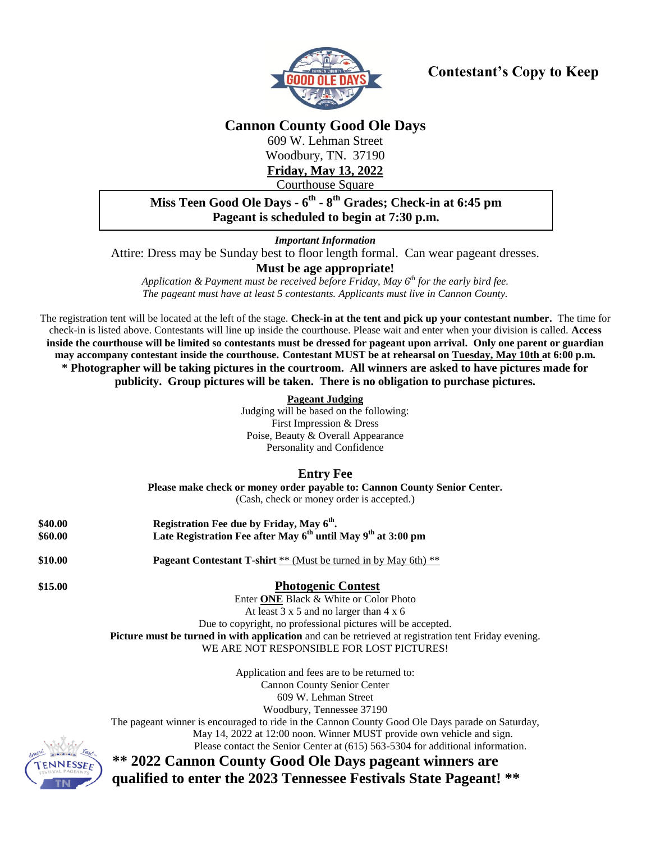

# **Contestant's Copy to Keep**

**Cannon County Good Ole Days**

609 W. Lehman Street Woodbury, TN. 37190 **Friday, May 13, 2022**

Courthouse Square

## **Miss Teen Good Ole Days - 6 th - 8 th Grades; Check-in at 6:45 pm Pageant is scheduled to begin at 7:30 p.m.**

*Important Information* **;45 pm.**

Attire: Dress may be Sunday best to floor length formal. Can wear pageant dresses.

### **Must be age appropriate!**

*Application & Payment must be received before Friday, May 6 th for the early bird fee. The pageant must have at least 5 contestants. Applicants must live in Cannon County.*

The registration tent will be located at the left of the stage. **Check-in at the tent and pick up your contestant number.** The time for check-in is listed above. Contestants will line up inside the courthouse. Please wait and enter when your division is called. **Access inside the courthouse will be limited so contestants must be dressed for pageant upon arrival. Only one parent or guardian may accompany contestant inside the courthouse. Contestant MUST be at rehearsal on Tuesday, May 10th at 6:00 p.m. \* Photographer will be taking pictures in the courtroom. All winners are asked to have pictures made for publicity. Group pictures will be taken. There is no obligation to purchase pictures.**

> **Pageant Judging** Judging will be based on the following: First Impression & Dress Poise, Beauty & Overall Appearance Personality and Confidence

### **Entry Fee**

**Please make check or money order payable to: Cannon County Senior Center.** (Cash, check or money order is accepted.)

| \$40.00 | Registration Fee due by Friday, May 6 <sup>th</sup> .                                                |  |  |  |
|---------|------------------------------------------------------------------------------------------------------|--|--|--|
| \$60.00 | Late Registration Fee after May 6 <sup>th</sup> until May 9 <sup>th</sup> at 3:00 pm                 |  |  |  |
| \$10.00 | <b>Pageant Contestant T-shirt</b> ** (Must be turned in by May 6th) **                               |  |  |  |
| \$15.00 | <b>Photogenic Contest</b>                                                                            |  |  |  |
|         | Enter <b>ONE</b> Black & White or Color Photo                                                        |  |  |  |
|         | At least $3 \times 5$ and no larger than $4 \times 6$                                                |  |  |  |
|         | Due to copyright, no professional pictures will be accepted.                                         |  |  |  |
|         | Picture must be turned in with application and can be retrieved at registration tent Friday evening. |  |  |  |
|         | WE ARE NOT RESPONSIBLE FOR LOST PICTURES!                                                            |  |  |  |
|         | Application and fees are to be returned to:                                                          |  |  |  |
|         | <b>Cannon County Senior Center</b>                                                                   |  |  |  |
|         | 609 W. Lehman Street                                                                                 |  |  |  |
|         | Woodbury, Tennessee 37190                                                                            |  |  |  |
|         | The pageant winner is encouraged to ride in the Cannon County Good Ole Days parade on Saturday,      |  |  |  |
| ÷       | May 14, 2022 at 12:00 noon. Winner MUST provide own vehicle and sign.                                |  |  |  |

Please contact the Senior Center at (615) 563-5304 for additional information.



**\*\* 2022 Cannon County Good Ole Days pageant winners are qualified to enter the 2023 Tennessee Festivals State Pageant! \*\***